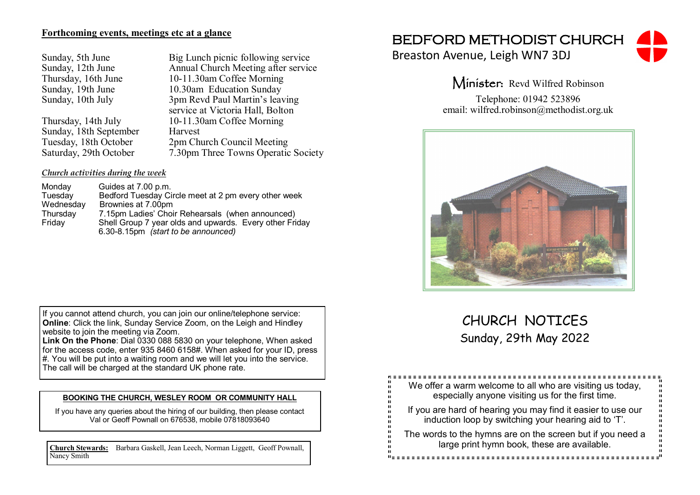## **Forthcoming events, meetings etc at a glance**

| Sunday, 5th June    |
|---------------------|
| Sunday, 12th June   |
| Thursday, 16th June |
| Sunday, 19th June   |
| Sunday, 10th July   |
|                     |

Sunday, 18th September<br>Tuesday, 18th October 2pm Ch

Big Lunch picnic following service Annual Church Meeting after service 10-11.30am Coffee Morning 10.30am Education Sunday 3pm Revd Paul Martin's leaving service at Victoria Hall, Bolton Thursday, 14th July 10-11.30am Coffee Morning Tuesday, 18th October 2pm Church Council Meeting<br>Saturday, 29th October 7.30pm Three Towns Operation 7.30pm Three Towns Operatic Society

## *Church activities during the week*

| Monday    | Guides at 7.00 p.m.                                     |
|-----------|---------------------------------------------------------|
| Tuesday   | Bedford Tuesday Circle meet at 2 pm every other week    |
| Wednesday | Brownies at 7.00pm                                      |
| Thursday  | 7.15pm Ladies' Choir Rehearsals (when announced)        |
| Friday    | Shell Group 7 year olds and upwards. Every other Friday |
|           | 6.30-8.15pm (start to be announced)                     |

If you cannot attend church, you can join our online/telephone service: **Online:** Click the link, Sunday Service Zoom, on the Leigh and Hindley website to join the meeting via Zoom.

**Link On the Phone**: Dial 0330 088 5830 on your telephone, When asked for the access code, enter 935 8460 6158#. When asked for your ID, press #. You will be put into a waiting room and we will let you into the service. The call will be charged at the standard UK phone rate.

### **BOOKING THE CHURCH, WESLEY ROOM OR COMMUNITY HALL**

If you have any queries about the hiring of our building, then please contact Val or Geoff Pownall on 676538, mobile 07818093640

**Church Stewards:** Barbara Gaskell, Jean Leech, Norman Liggett, Geoff Pownall, Nancy Smith

# BEDFORD METHODIST CHURCH

Breaston Avenue, Leigh WN7 3DJ



Minister: Revd Wilfred Robinson

Telephone: 01942 523896 email: wilfred.robinson@methodist.org.uk



# CHURCH NOTICES Sunday, 29th May 2022

| ш<br>ш<br>We offer a warm welcome to all who are visiting us today,<br>п<br>especially anyone visiting us for the first time.<br>п<br>ū            |
|----------------------------------------------------------------------------------------------------------------------------------------------------|
| ū<br>If you are hard of hearing you may find it easier to use our<br>H<br>ш<br>п<br>induction loop by switching your hearing aid to 'T'.<br>П<br>ü |
| u<br>H<br>The words to the hymns are on the screen but if you need a<br>п<br>large print hymn book, these are available.<br>п<br>п                 |
|                                                                                                                                                    |